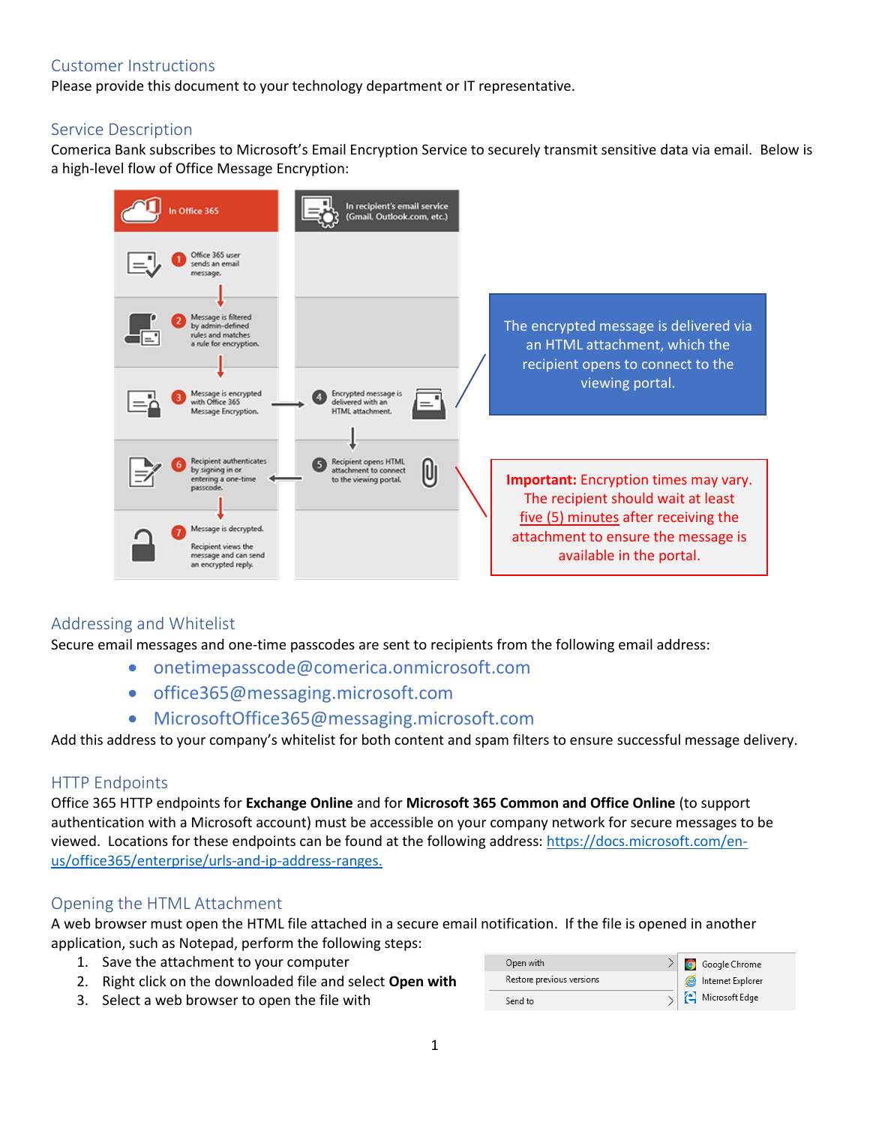## Customer Instructions

Please provide this document to your technology department or IT representative.

### Service Description

Comerica Bank subscribes to Microsoft's Email Encryption Service to securely transmit sensitive data via email. Below is a high-level flow of Office Message Encryption:



# Addressing and Whitelist

Secure email messages and one-time passcodes are sent to recipients from the following email address:

- onetimepasscode@comerica.onmicrosoft.com
- office365@messaging.microsoft.com
- MicrosoftOffice365@messaging.microsoft.com

Add this address to your company's whitelist for both content and spam filters to ensure successful message delivery.

### HTTP Endpoints

Office 365 HTTP endpoints for **Exchange Online** and for **Microsoft 365 Common and Office Online** (to support authentication with a Microsoft account) must be accessible on your company network for secure messages to be viewed. Locations for these endpoints can be found at the following address: https://docs.microsoft.com/enus/office365/enterprise/urls-and-ip-address-ranges.

### Opening the HTML Attachment

A web browser must open the HTML file attached in a secure email notification. If the file is opened in another application, such as Notepad, perform the following steps:

- 1. Save the attachment to your computer
- 2. Right click on the downloaded file and select **Open with**
- 3. Select a web browser to open the file with

| Open with                 | $\geq$ Google Chrome                         |
|---------------------------|----------------------------------------------|
| Restore previous versions | Internet Explorer                            |
| Send to                   | $\left\vert \cdot\right\vert$ Microsoft Edge |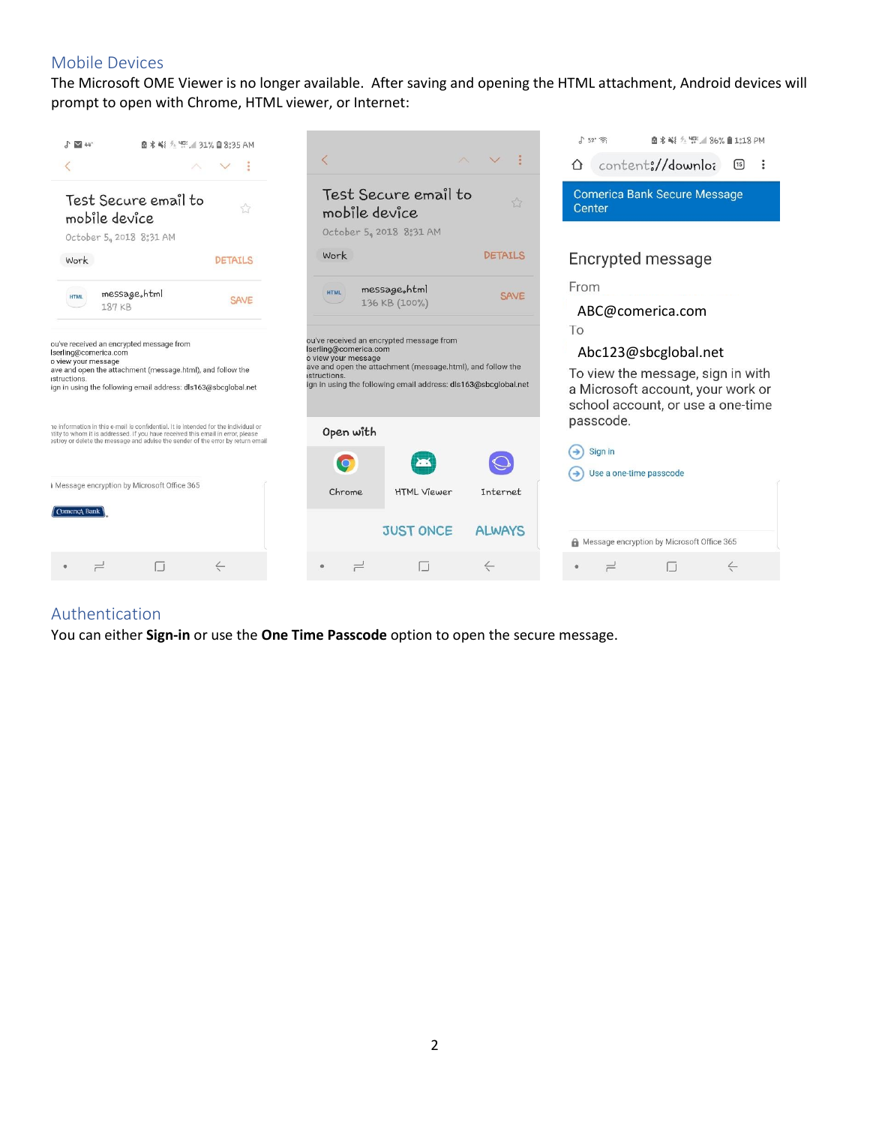# Mobile Devices

The Microsoft OME Viewer is no longer available. After saving and opening the HTML attachment, Android devices will prompt to open with Chrome, HTML viewer, or Internet:



#### Authentication

You can either **Sign-in** or use the **One Time Passcode** option to open the secure message.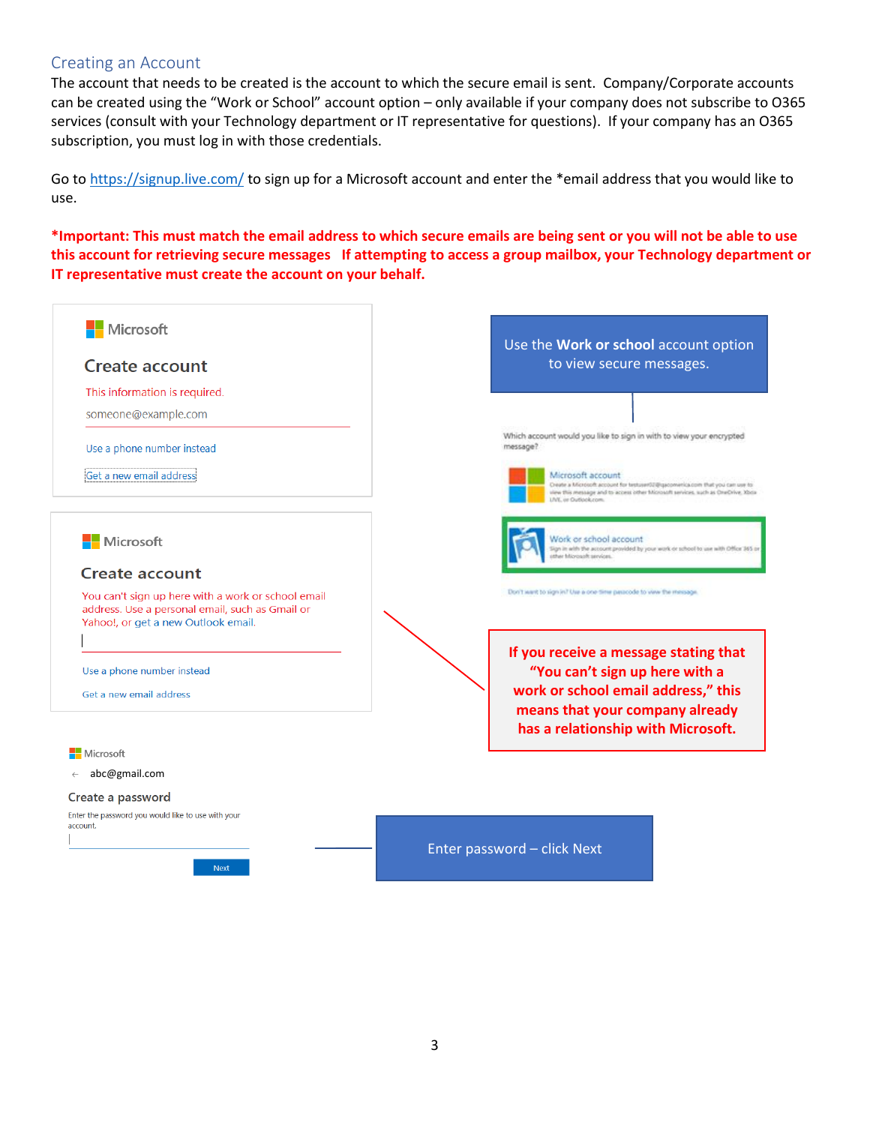#### Creating an Account

The account that needs to be created is the account to which the secure email is sent. Company/Corporate accounts can be created using the "Work or School" account option – only available if your company does not subscribe to O365 services (consult with your Technology department or IT representative for questions). If your company has an O365 subscription, you must log in with those credentials.

Go to https://signup.live.com/ to sign up for a Microsoft account and enter the \*email address that you would like to use.

**\*Important: This must match the email address to which secure emails are being sent or you will not be able to use this account for retrieving secure messages If attempting to access a group mailbox, your Technology department or IT representative must create the account on your behalf.**

| Microsoft<br>Create account<br>This information is required.<br>someone@example.com                                                                                                | Use the Work or school account option<br>to view secure messages.                                                                                                                                                                                                                                 |
|------------------------------------------------------------------------------------------------------------------------------------------------------------------------------------|---------------------------------------------------------------------------------------------------------------------------------------------------------------------------------------------------------------------------------------------------------------------------------------------------|
| Use a phone number instead<br>Get a new email address                                                                                                                              | Which account would you like to sign in with to view your encrypted<br>message?<br>Microsoft account<br>Create a Microsoft account for testuser02@gacomerica.com that you can use to<br>view this message and to access other Microsoft services, such as OneDrive, Xbox<br>LIVE, or Outlook.com. |
| Microsoft<br><b>Create account</b><br>You can't sign up here with a work or school email<br>address. Use a personal email, such as Gmail or<br>Yahoo!, or get a new Outlook email. | Vork or school account<br>lign in with the account provided by your work or school to use with Office 365 or<br>other Microsoft services.<br>Don't want to sign in? Use a one-time passcode to view the message.                                                                                  |
| Use a phone number instead<br>Get a new email address                                                                                                                              | If you receive a message stating that<br>"You can't sign up here with a<br>work or school email address," this<br>means that your company already<br>has a relationship with Microsoft.                                                                                                           |
| Microsoft                                                                                                                                                                          |                                                                                                                                                                                                                                                                                                   |
| abc@gmail.com<br>$\leftarrow$<br>Create a password<br>Enter the password you would like to use with your<br>account.<br><b>Next</b>                                                | Enter password - click Next                                                                                                                                                                                                                                                                       |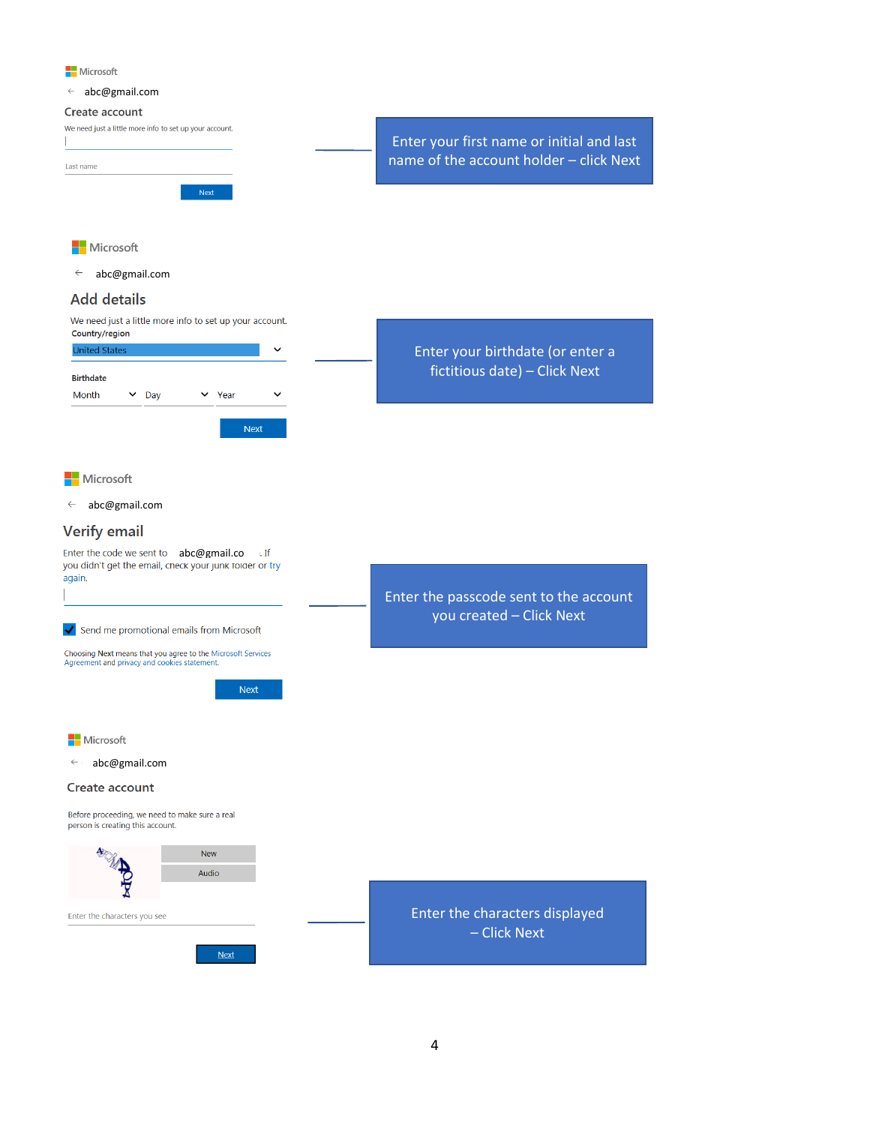